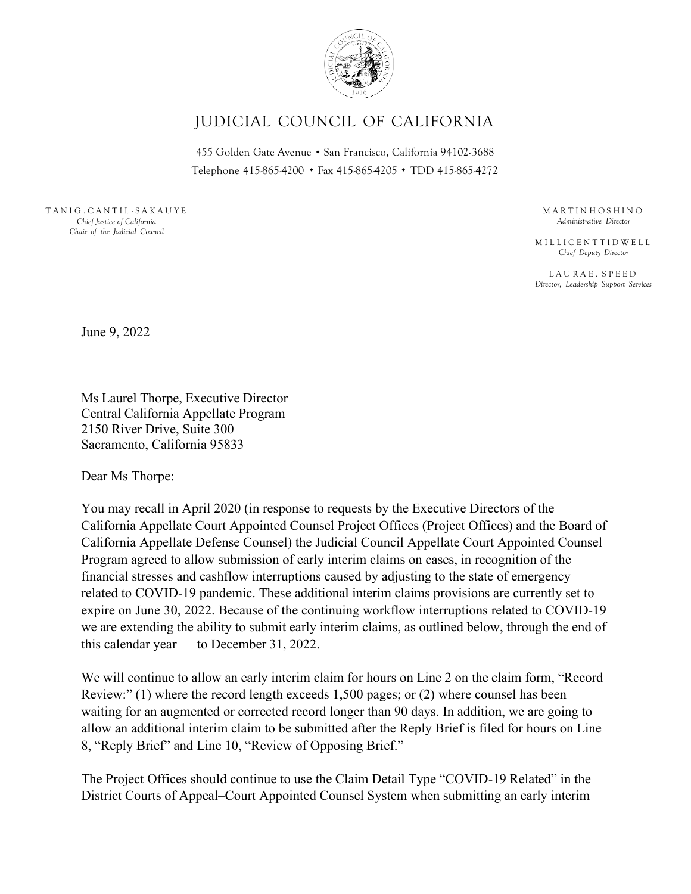

## JUDICIAL COUNCIL OF CALIFORNIA

433 Oolden Oate Avenue • San Francisco, Camorina 94102-3066<br>Telephone 415-865-4200 • Fax 415-865-4205 • TDD 415-865-4272 455 Golden Gate Avenue . San Francisco, Ca lifornia 94102-3688

T A N I G . C A N T I L - S A K A U Y E *Chief Justice of California Chair of the Judicial Council*

M A R T I N H O S H I N O *Administrative Director*

M I L L I C E N T T I D W E L L *Chief Deputy Director*

L A U R A E . S P E E D *Director, Leadership Support Services*

June 9, 2022

Ms Laurel Thorpe, Executive Director Central California Appellate Program 2150 River Drive, Suite 300 Sacramento, California 95833

Dear Ms Thorpe:

You may recall in April 2020 (in response to requests by the Executive Directors of the California Appellate Court Appointed Counsel Project Offices (Project Offices) and the Board of California Appellate Defense Counsel) the Judicial Council Appellate Court Appointed Counsel Program agreed to allow submission of early interim claims on cases, in recognition of the financial stresses and cashflow interruptions caused by adjusting to the state of emergency related to COVID-19 pandemic. These additional interim claims provisions are currently set to expire on June 30, 2022. Because of the continuing workflow interruptions related to COVID-19 we are extending the ability to submit early interim claims, as outlined below, through the end of this calendar year — to December 31, 2022.

We will continue to allow an early interim claim for hours on Line 2 on the claim form, "Record Review:" (1) where the record length exceeds 1,500 pages; or (2) where counsel has been waiting for an augmented or corrected record longer than 90 days. In addition, we are going to allow an additional interim claim to be submitted after the Reply Brief is filed for hours on Line 8, "Reply Brief" and Line 10, "Review of Opposing Brief."

The Project Offices should continue to use the Claim Detail Type "COVID-19 Related" in the District Courts of Appeal–Court Appointed Counsel System when submitting an early interim